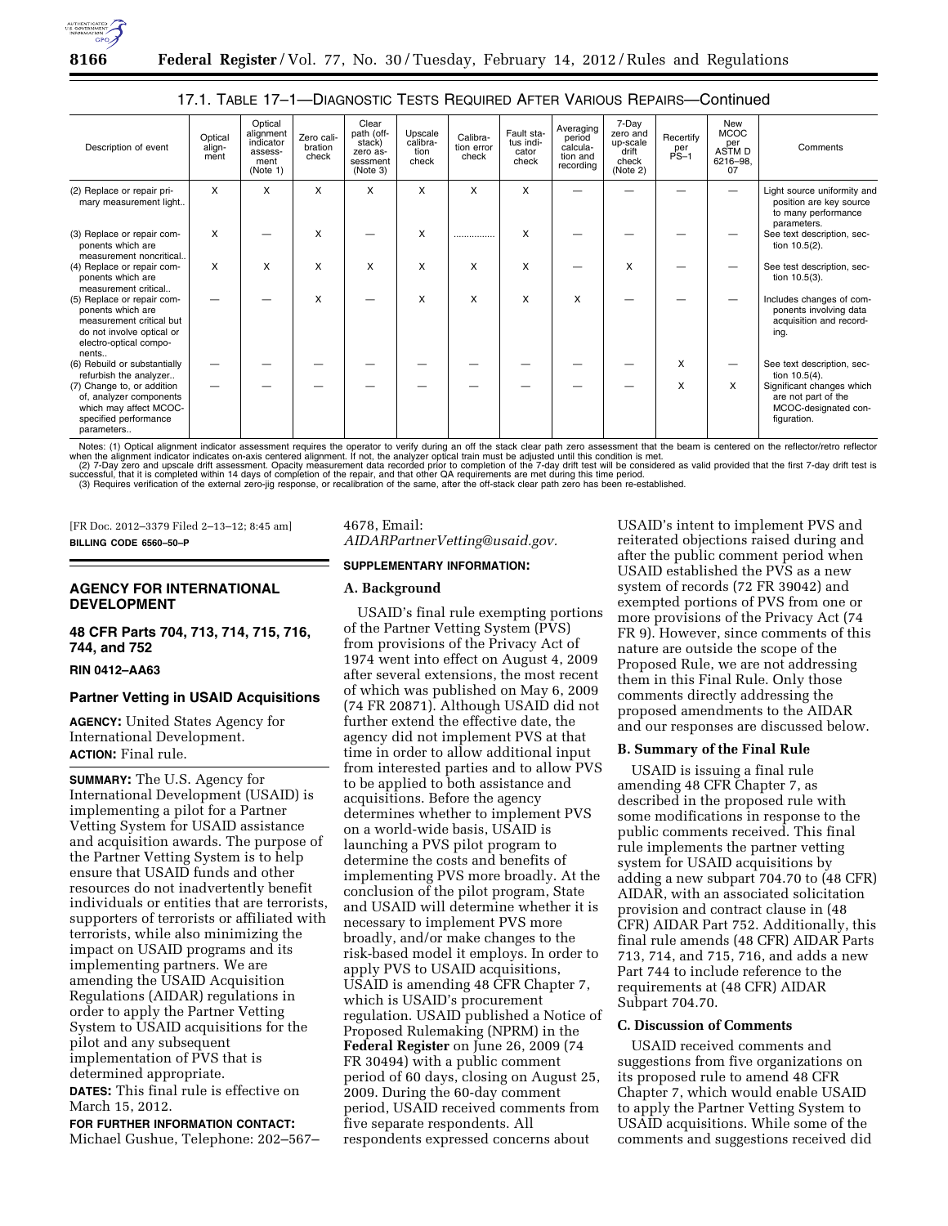

| Description of event                                                                                                                        | Optical<br>align-<br>ment | Optical<br>alignment<br>indicator<br>assess-<br>ment<br>(Note 1) | Zero cali-<br>bration<br>check | Clear<br>path (off-<br>stack)<br>zero as-<br>sessment<br>(Note 3) | Upscale<br>calibra-<br>tion<br>check | Calibra-<br>tion error<br>check | Fault sta-<br>tus indi-<br>cator<br>check | Averaging<br>period<br>calcula-<br>tion and<br>recording | 7-Day<br>zero and<br>up-scale<br>drift<br>check<br>(Note 2) | Recertify<br>per<br>PS-1 | New<br>MCOC<br>per<br>ASTM D<br>6216-98,<br>07 | Comments                                                                                |
|---------------------------------------------------------------------------------------------------------------------------------------------|---------------------------|------------------------------------------------------------------|--------------------------------|-------------------------------------------------------------------|--------------------------------------|---------------------------------|-------------------------------------------|----------------------------------------------------------|-------------------------------------------------------------|--------------------------|------------------------------------------------|-----------------------------------------------------------------------------------------|
| (2) Replace or repair pri-<br>mary measurement light                                                                                        | X                         | X                                                                | x                              | X                                                                 | X                                    | X                               | X                                         |                                                          |                                                             |                          |                                                | Light source uniformity and<br>position are key source<br>to many performance           |
| (3) Replace or repair com-<br>ponents which are<br>measurement noncritical                                                                  | X                         |                                                                  | x                              |                                                                   | X                                    |                                 | X                                         |                                                          |                                                             |                          |                                                | parameters.<br>See text description, sec-<br>tion $10.5(2)$ .                           |
| (4) Replace or repair com-<br>ponents which are<br>measurement critical                                                                     | X                         | X                                                                | X                              | X                                                                 | X                                    | X                               | X                                         |                                                          | X                                                           |                          |                                                | See test description, sec-<br>tion $10.5(3)$ .                                          |
| (5) Replace or repair com-<br>ponents which are<br>measurement critical but<br>do not involve optical or<br>electro-optical compo-<br>nents |                           |                                                                  | X                              |                                                                   | X                                    | X                               | X                                         | x                                                        |                                                             |                          |                                                | Includes changes of com-<br>ponents involving data<br>acquisition and record-<br>ing.   |
| (6) Rebuild or substantially<br>refurbish the analyzer                                                                                      |                           |                                                                  |                                |                                                                   |                                      |                                 |                                           |                                                          |                                                             | X                        |                                                | See text description, sec-<br>tion $10.5(4)$ .                                          |
| (7) Change to, or addition<br>of, analyzer components<br>which may affect MCOC-<br>specified performance<br>parameters                      |                           |                                                                  |                                |                                                                   |                                      |                                 |                                           |                                                          |                                                             | X                        | X                                              | Significant changes which<br>are not part of the<br>MCOC-designated con-<br>figuration. |

17.1. TABLE 17–1—DIAGNOSTIC TESTS REQUIRED AFTER VARIOUS REPAIRS—Continued

Notes: (1) Optical alignment indicator assessment requires the operator to verify during an off the stack clear path zero assessment that the beam is centered on the reflector/retro reflector<br>when the alignment indicator i (3) Requires verification of the external zero-jig response, or recalibration of the same, after the off-stack clear path zero has been re-established.

[FR Doc. 2012–3379 Filed 2–13–12; 8:45 am] **BILLING CODE 6560–50–P** 

# **AGENCY FOR INTERNATIONAL DEVELOPMENT**

## **48 CFR Parts 704, 713, 714, 715, 716, 744, and 752**

#### **RIN 0412–AA63**

#### **Partner Vetting in USAID Acquisitions**

**AGENCY:** United States Agency for International Development. **ACTION:** Final rule.

**SUMMARY:** The U.S. Agency for International Development (USAID) is implementing a pilot for a Partner Vetting System for USAID assistance and acquisition awards. The purpose of the Partner Vetting System is to help ensure that USAID funds and other resources do not inadvertently benefit individuals or entities that are terrorists, supporters of terrorists or affiliated with terrorists, while also minimizing the impact on USAID programs and its implementing partners. We are amending the USAID Acquisition Regulations (AIDAR) regulations in order to apply the Partner Vetting System to USAID acquisitions for the pilot and any subsequent implementation of PVS that is determined appropriate. **DATES:** This final rule is effective on

March 15, 2012. **FOR FURTHER INFORMATION CONTACT:** 

Michael Gushue, Telephone: 202–567–

# 4678, Email: *[AIDARPartnerVetting@usaid.gov.](mailto:AIDARPartnerVetting@usaid.gov)*

#### **SUPPLEMENTARY INFORMATION:**

#### **A. Background**

USAID's final rule exempting portions of the Partner Vetting System (PVS) from provisions of the Privacy Act of 1974 went into effect on August 4, 2009 after several extensions, the most recent of which was published on May 6, 2009 (74 FR 20871). Although USAID did not further extend the effective date, the agency did not implement PVS at that time in order to allow additional input from interested parties and to allow PVS to be applied to both assistance and acquisitions. Before the agency determines whether to implement PVS on a world-wide basis, USAID is launching a PVS pilot program to determine the costs and benefits of implementing PVS more broadly. At the conclusion of the pilot program, State and USAID will determine whether it is necessary to implement PVS more broadly, and/or make changes to the risk-based model it employs. In order to apply PVS to USAID acquisitions, USAID is amending 48 CFR Chapter 7, which is USAID's procurement regulation. USAID published a Notice of Proposed Rulemaking (NPRM) in the **Federal Register** on June 26, 2009 (74 FR 30494) with a public comment period of 60 days, closing on August 25, 2009. During the 60-day comment period, USAID received comments from five separate respondents. All respondents expressed concerns about

USAID's intent to implement PVS and reiterated objections raised during and after the public comment period when USAID established the PVS as a new system of records (72 FR 39042) and exempted portions of PVS from one or more provisions of the Privacy Act (74 FR 9). However, since comments of this nature are outside the scope of the Proposed Rule, we are not addressing them in this Final Rule. Only those comments directly addressing the proposed amendments to the AIDAR and our responses are discussed below.

#### **B. Summary of the Final Rule**

USAID is issuing a final rule amending 48 CFR Chapter 7, as described in the proposed rule with some modifications in response to the public comments received. This final rule implements the partner vetting system for USAID acquisitions by adding a new subpart 704.70 to (48 CFR) AIDAR, with an associated solicitation provision and contract clause in (48 CFR) AIDAR Part 752. Additionally, this final rule amends (48 CFR) AIDAR Parts 713, 714, and 715, 716, and adds a new Part 744 to include reference to the requirements at (48 CFR) AIDAR Subpart 704.70.

#### **C. Discussion of Comments**

USAID received comments and suggestions from five organizations on its proposed rule to amend 48 CFR Chapter 7, which would enable USAID to apply the Partner Vetting System to USAID acquisitions. While some of the comments and suggestions received did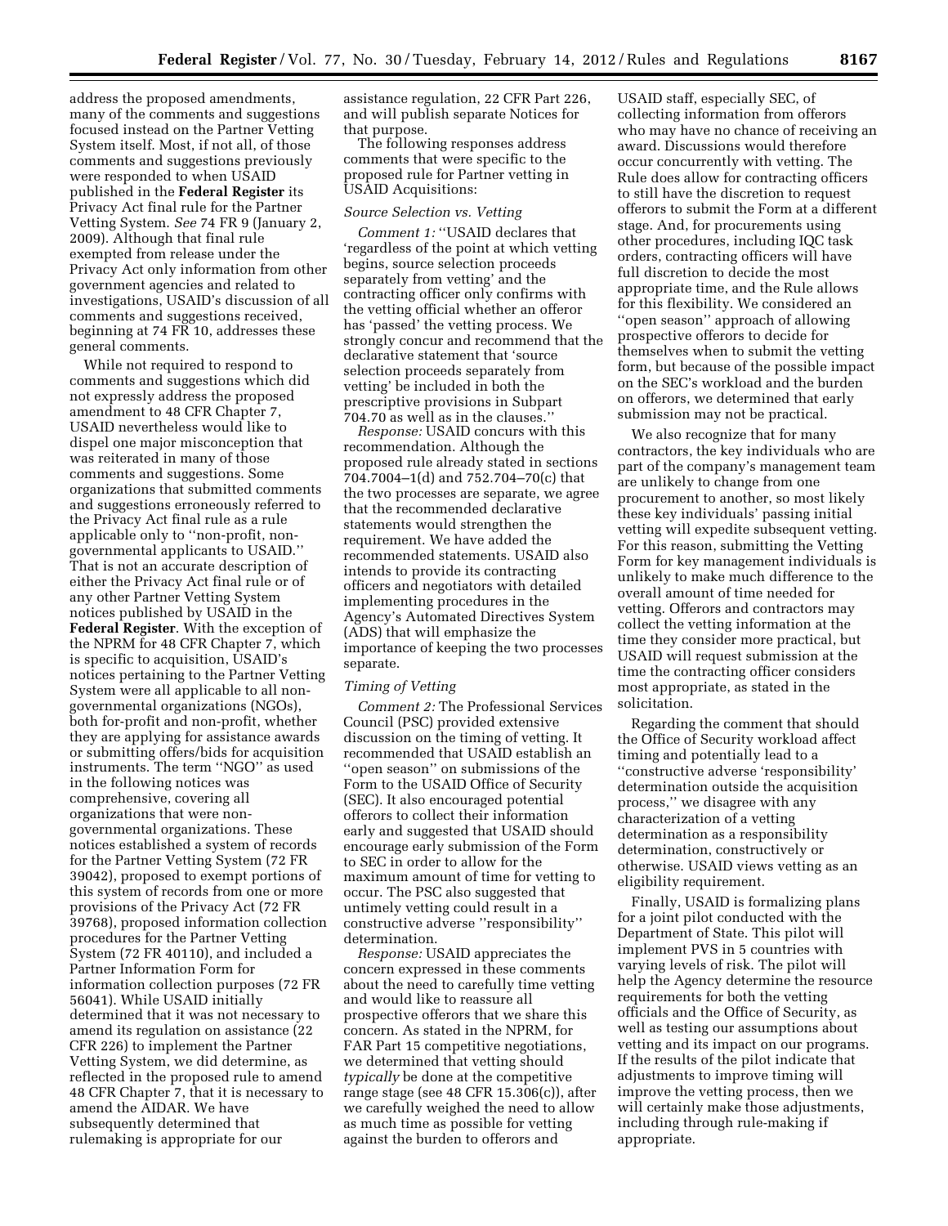address the proposed amendments, many of the comments and suggestions focused instead on the Partner Vetting System itself. Most, if not all, of those comments and suggestions previously were responded to when USAID published in the **Federal Register** its Privacy Act final rule for the Partner Vetting System. *See* 74 FR 9 (January 2, 2009). Although that final rule exempted from release under the Privacy Act only information from other government agencies and related to investigations, USAID's discussion of all comments and suggestions received, beginning at 74 FR 10, addresses these general comments.

While not required to respond to comments and suggestions which did not expressly address the proposed amendment to 48 CFR Chapter 7, USAID nevertheless would like to dispel one major misconception that was reiterated in many of those comments and suggestions. Some organizations that submitted comments and suggestions erroneously referred to the Privacy Act final rule as a rule applicable only to ''non-profit, nongovernmental applicants to USAID.'' That is not an accurate description of either the Privacy Act final rule or of any other Partner Vetting System notices published by USAID in the **Federal Register**. With the exception of the NPRM for 48 CFR Chapter 7, which is specific to acquisition, USAID's notices pertaining to the Partner Vetting System were all applicable to all nongovernmental organizations (NGOs), both for-profit and non-profit, whether they are applying for assistance awards or submitting offers/bids for acquisition instruments. The term ''NGO'' as used in the following notices was comprehensive, covering all organizations that were nongovernmental organizations. These notices established a system of records for the Partner Vetting System (72 FR 39042), proposed to exempt portions of this system of records from one or more provisions of the Privacy Act (72 FR 39768), proposed information collection procedures for the Partner Vetting System (72 FR 40110), and included a Partner Information Form for information collection purposes (72 FR 56041). While USAID initially determined that it was not necessary to amend its regulation on assistance (22 CFR 226) to implement the Partner Vetting System, we did determine, as reflected in the proposed rule to amend 48 CFR Chapter 7, that it is necessary to amend the AIDAR. We have subsequently determined that rulemaking is appropriate for our

assistance regulation, 22 CFR Part 226, and will publish separate Notices for that purpose.

The following responses address comments that were specific to the proposed rule for Partner vetting in USAID Acquisitions:

#### *Source Selection vs. Vetting*

*Comment 1:* ''USAID declares that 'regardless of the point at which vetting begins, source selection proceeds separately from vetting' and the contracting officer only confirms with the vetting official whether an offeror has 'passed' the vetting process. We strongly concur and recommend that the declarative statement that 'source selection proceeds separately from vetting' be included in both the prescriptive provisions in Subpart 704.70 as well as in the clauses.''

*Response:* USAID concurs with this recommendation. Although the proposed rule already stated in sections 704.7004–1(d) and 752.704–70(c) that the two processes are separate, we agree that the recommended declarative statements would strengthen the requirement. We have added the recommended statements. USAID also intends to provide its contracting officers and negotiators with detailed implementing procedures in the Agency's Automated Directives System (ADS) that will emphasize the importance of keeping the two processes separate.

#### *Timing of Vetting*

*Comment 2:* The Professional Services Council (PSC) provided extensive discussion on the timing of vetting. It recommended that USAID establish an ''open season'' on submissions of the Form to the USAID Office of Security (SEC). It also encouraged potential offerors to collect their information early and suggested that USAID should encourage early submission of the Form to SEC in order to allow for the maximum amount of time for vetting to occur. The PSC also suggested that untimely vetting could result in a constructive adverse ''responsibility'' determination.

*Response:* USAID appreciates the concern expressed in these comments about the need to carefully time vetting and would like to reassure all prospective offerors that we share this concern. As stated in the NPRM, for FAR Part 15 competitive negotiations, we determined that vetting should *typically* be done at the competitive range stage (see 48 CFR 15.306(c)), after we carefully weighed the need to allow as much time as possible for vetting against the burden to offerors and

USAID staff, especially SEC, of collecting information from offerors who may have no chance of receiving an award. Discussions would therefore occur concurrently with vetting. The Rule does allow for contracting officers to still have the discretion to request offerors to submit the Form at a different stage. And, for procurements using other procedures, including IQC task orders, contracting officers will have full discretion to decide the most appropriate time, and the Rule allows for this flexibility. We considered an ''open season'' approach of allowing prospective offerors to decide for themselves when to submit the vetting form, but because of the possible impact on the SEC's workload and the burden on offerors, we determined that early submission may not be practical.

We also recognize that for many contractors, the key individuals who are part of the company's management team are unlikely to change from one procurement to another, so most likely these key individuals' passing initial vetting will expedite subsequent vetting. For this reason, submitting the Vetting Form for key management individuals is unlikely to make much difference to the overall amount of time needed for vetting. Offerors and contractors may collect the vetting information at the time they consider more practical, but USAID will request submission at the time the contracting officer considers most appropriate, as stated in the solicitation.

Regarding the comment that should the Office of Security workload affect timing and potentially lead to a ''constructive adverse 'responsibility' determination outside the acquisition process,'' we disagree with any characterization of a vetting determination as a responsibility determination, constructively or otherwise. USAID views vetting as an eligibility requirement.

Finally, USAID is formalizing plans for a joint pilot conducted with the Department of State. This pilot will implement PVS in 5 countries with varying levels of risk. The pilot will help the Agency determine the resource requirements for both the vetting officials and the Office of Security, as well as testing our assumptions about vetting and its impact on our programs. If the results of the pilot indicate that adjustments to improve timing will improve the vetting process, then we will certainly make those adjustments, including through rule-making if appropriate.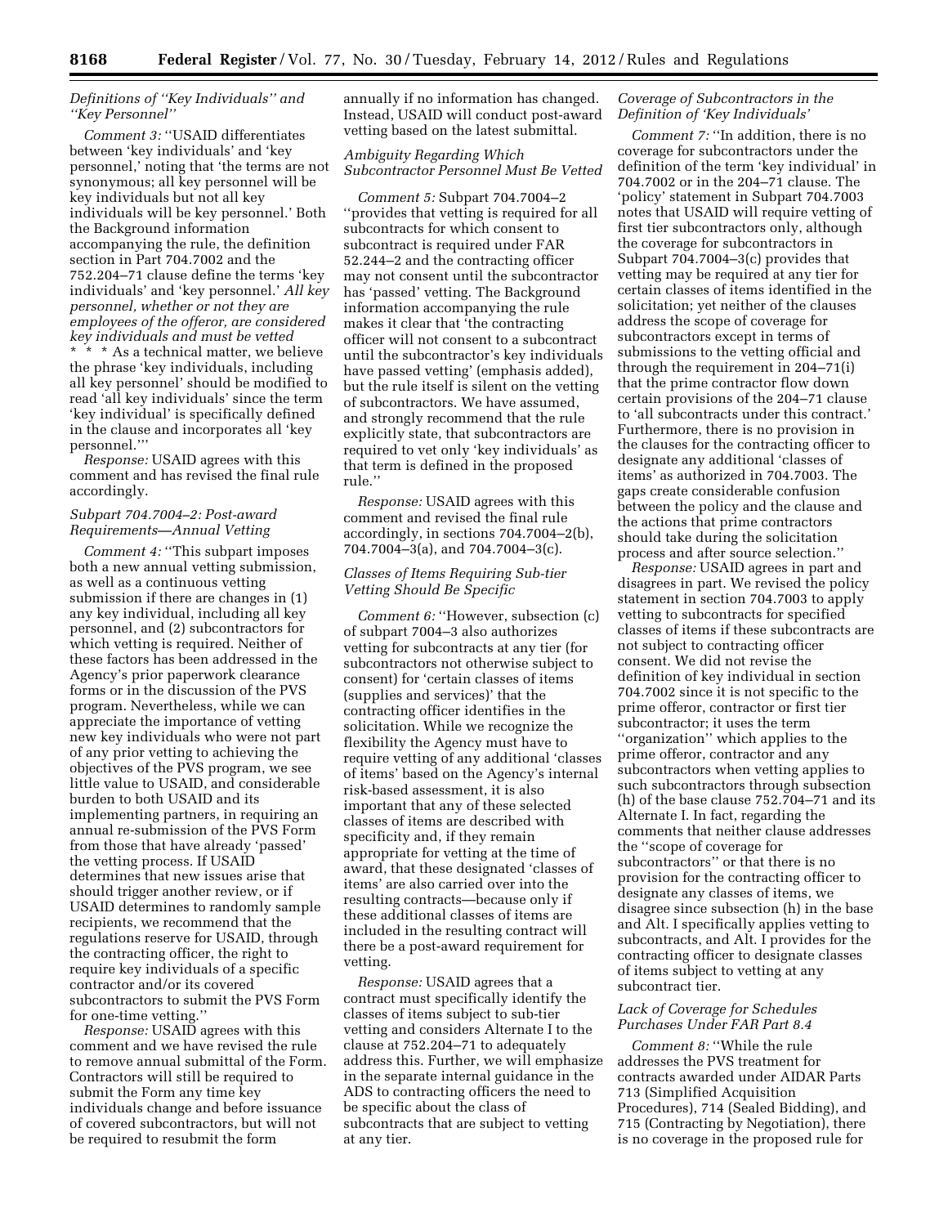# *Definitions of ''Key Individuals'' and ''Key Personnel''*

*Comment 3:* ''USAID differentiates between 'key individuals' and 'key personnel,' noting that 'the terms are not synonymous; all key personnel will be key individuals but not all key individuals will be key personnel.' Both the Background information accompanying the rule, the definition section in Part 704.7002 and the 752.204–71 clause define the terms 'key individuals' and 'key personnel.' *All key personnel, whether or not they are employees of the offeror, are considered key individuals and must be vetted*  \* \* \* As a technical matter, we believe the phrase 'key individuals, including all key personnel' should be modified to read 'all key individuals' since the term 'key individual' is specifically defined in the clause and incorporates all 'key personnel.'''

*Response:* USAID agrees with this comment and has revised the final rule accordingly.

# *Subpart 704.7004–2: Post-award Requirements—Annual Vetting*

*Comment 4:* ''This subpart imposes both a new annual vetting submission, as well as a continuous vetting submission if there are changes in (1) any key individual, including all key personnel, and (2) subcontractors for which vetting is required. Neither of these factors has been addressed in the Agency's prior paperwork clearance forms or in the discussion of the PVS program. Nevertheless, while we can appreciate the importance of vetting new key individuals who were not part of any prior vetting to achieving the objectives of the PVS program, we see little value to USAID, and considerable burden to both USAID and its implementing partners, in requiring an annual re-submission of the PVS Form from those that have already 'passed' the vetting process. If USAID determines that new issues arise that should trigger another review, or if USAID determines to randomly sample recipients, we recommend that the regulations reserve for USAID, through the contracting officer, the right to require key individuals of a specific contractor and/or its covered subcontractors to submit the PVS Form for one-time vetting.''

*Response:* USAID agrees with this comment and we have revised the rule to remove annual submittal of the Form. Contractors will still be required to submit the Form any time key individuals change and before issuance of covered subcontractors, but will not be required to resubmit the form

annually if no information has changed. Instead, USAID will conduct post-award vetting based on the latest submittal.

# *Ambiguity Regarding Which Subcontractor Personnel Must Be Vetted*

*Comment 5:* Subpart 704.7004–2 ''provides that vetting is required for all subcontracts for which consent to subcontract is required under FAR 52.244–2 and the contracting officer may not consent until the subcontractor has 'passed' vetting. The Background information accompanying the rule makes it clear that 'the contracting officer will not consent to a subcontract until the subcontractor's key individuals have passed vetting' (emphasis added), but the rule itself is silent on the vetting of subcontractors. We have assumed, and strongly recommend that the rule explicitly state, that subcontractors are required to vet only 'key individuals' as that term is defined in the proposed rule.''

*Response:* USAID agrees with this comment and revised the final rule accordingly, in sections 704.7004–2(b), 704.7004–3(a), and 704.7004–3(c).

# *Classes of Items Requiring Sub-tier Vetting Should Be Specific*

*Comment 6:* "However, subsection (c) of subpart 7004–3 also authorizes vetting for subcontracts at any tier (for subcontractors not otherwise subject to consent) for 'certain classes of items (supplies and services)' that the contracting officer identifies in the solicitation. While we recognize the flexibility the Agency must have to require vetting of any additional 'classes of items' based on the Agency's internal risk-based assessment, it is also important that any of these selected classes of items are described with specificity and, if they remain appropriate for vetting at the time of award, that these designated 'classes of items' are also carried over into the resulting contracts—because only if these additional classes of items are included in the resulting contract will there be a post-award requirement for vetting.

*Response:* USAID agrees that a contract must specifically identify the classes of items subject to sub-tier vetting and considers Alternate I to the clause at 752.204–71 to adequately address this. Further, we will emphasize in the separate internal guidance in the ADS to contracting officers the need to be specific about the class of subcontracts that are subject to vetting at any tier.

#### *Coverage of Subcontractors in the Definition of 'Key Individuals'*

*Comment 7:* ''In addition, there is no coverage for subcontractors under the definition of the term 'key individual' in 704.7002 or in the 204–71 clause. The 'policy' statement in Subpart 704.7003 notes that USAID will require vetting of first tier subcontractors only, although the coverage for subcontractors in Subpart 704.7004–3(c) provides that vetting may be required at any tier for certain classes of items identified in the solicitation; yet neither of the clauses address the scope of coverage for subcontractors except in terms of submissions to the vetting official and through the requirement in 204–71(i) that the prime contractor flow down certain provisions of the 204–71 clause to 'all subcontracts under this contract.' Furthermore, there is no provision in the clauses for the contracting officer to designate any additional 'classes of items' as authorized in 704.7003. The gaps create considerable confusion between the policy and the clause and the actions that prime contractors should take during the solicitation process and after source selection.''

*Response:* USAID agrees in part and disagrees in part. We revised the policy statement in section 704.7003 to apply vetting to subcontracts for specified classes of items if these subcontracts are not subject to contracting officer consent. We did not revise the definition of key individual in section 704.7002 since it is not specific to the prime offeror, contractor or first tier subcontractor; it uses the term ''organization'' which applies to the prime offeror, contractor and any subcontractors when vetting applies to such subcontractors through subsection (h) of the base clause 752.704–71 and its Alternate I. In fact, regarding the comments that neither clause addresses the ''scope of coverage for subcontractors'' or that there is no provision for the contracting officer to designate any classes of items, we disagree since subsection (h) in the base and Alt. I specifically applies vetting to subcontracts, and Alt. I provides for the contracting officer to designate classes of items subject to vetting at any subcontract tier.

# *Lack of Coverage for Schedules Purchases Under FAR Part 8.4*

*Comment 8:* ''While the rule addresses the PVS treatment for contracts awarded under AIDAR Parts 713 (Simplified Acquisition Procedures), 714 (Sealed Bidding), and 715 (Contracting by Negotiation), there is no coverage in the proposed rule for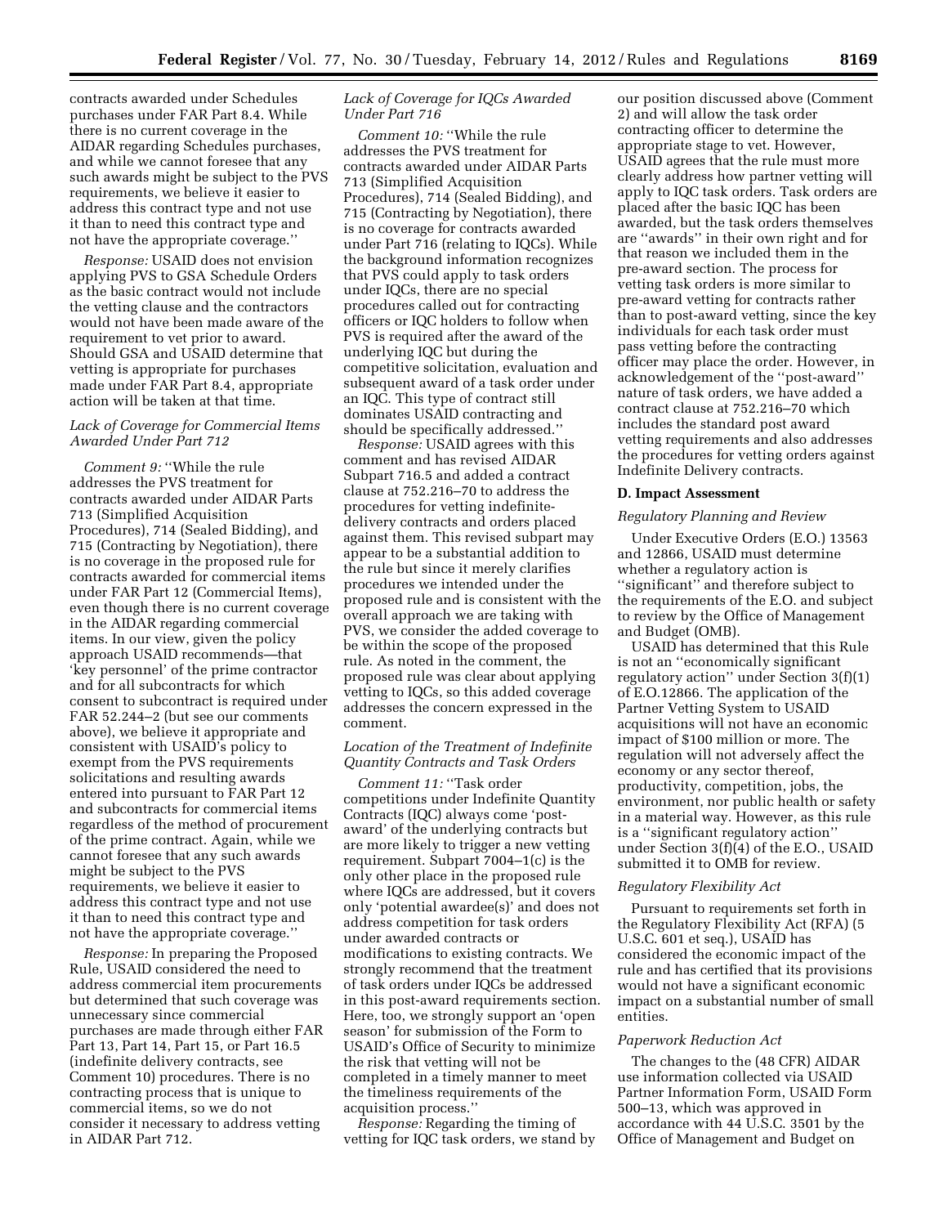contracts awarded under Schedules purchases under FAR Part 8.4. While there is no current coverage in the AIDAR regarding Schedules purchases, and while we cannot foresee that any such awards might be subject to the PVS requirements, we believe it easier to address this contract type and not use it than to need this contract type and not have the appropriate coverage.''

*Response:* USAID does not envision applying PVS to GSA Schedule Orders as the basic contract would not include the vetting clause and the contractors would not have been made aware of the requirement to vet prior to award. Should GSA and USAID determine that vetting is appropriate for purchases made under FAR Part 8.4, appropriate action will be taken at that time.

# *Lack of Coverage for Commercial Items Awarded Under Part 712*

*Comment 9:* ''While the rule addresses the PVS treatment for contracts awarded under AIDAR Parts 713 (Simplified Acquisition Procedures), 714 (Sealed Bidding), and 715 (Contracting by Negotiation), there is no coverage in the proposed rule for contracts awarded for commercial items under FAR Part 12 (Commercial Items), even though there is no current coverage in the AIDAR regarding commercial items. In our view, given the policy approach USAID recommends—that 'key personnel' of the prime contractor and for all subcontracts for which consent to subcontract is required under FAR 52.244–2 (but see our comments above), we believe it appropriate and consistent with USAID's policy to exempt from the PVS requirements solicitations and resulting awards entered into pursuant to FAR Part 12 and subcontracts for commercial items regardless of the method of procurement of the prime contract. Again, while we cannot foresee that any such awards might be subject to the PVS requirements, we believe it easier to address this contract type and not use it than to need this contract type and not have the appropriate coverage.''

*Response:* In preparing the Proposed Rule, USAID considered the need to address commercial item procurements but determined that such coverage was unnecessary since commercial purchases are made through either FAR Part 13, Part 14, Part 15, or Part 16.5 (indefinite delivery contracts, see Comment 10) procedures. There is no contracting process that is unique to commercial items, so we do not consider it necessary to address vetting in AIDAR Part 712.

# *Lack of Coverage for IQCs Awarded Under Part 716*

*Comment 10:* ''While the rule addresses the PVS treatment for contracts awarded under AIDAR Parts 713 (Simplified Acquisition Procedures), 714 (Sealed Bidding), and 715 (Contracting by Negotiation), there is no coverage for contracts awarded under Part 716 (relating to IQCs). While the background information recognizes that PVS could apply to task orders under IQCs, there are no special procedures called out for contracting officers or IQC holders to follow when PVS is required after the award of the underlying IQC but during the competitive solicitation, evaluation and subsequent award of a task order under an IQC. This type of contract still dominates USAID contracting and should be specifically addressed.''

*Response:* USAID agrees with this comment and has revised AIDAR Subpart 716.5 and added a contract clause at 752.216–70 to address the procedures for vetting indefinitedelivery contracts and orders placed against them. This revised subpart may appear to be a substantial addition to the rule but since it merely clarifies procedures we intended under the proposed rule and is consistent with the overall approach we are taking with PVS, we consider the added coverage to be within the scope of the proposed rule. As noted in the comment, the proposed rule was clear about applying vetting to IQCs, so this added coverage addresses the concern expressed in the comment.

# *Location of the Treatment of Indefinite Quantity Contracts and Task Orders*

*Comment 11:* ''Task order competitions under Indefinite Quantity Contracts (IQC) always come 'postaward' of the underlying contracts but are more likely to trigger a new vetting requirement. Subpart 7004–1(c) is the only other place in the proposed rule where IQCs are addressed, but it covers only 'potential awardee(s)' and does not address competition for task orders under awarded contracts or modifications to existing contracts. We strongly recommend that the treatment of task orders under IQCs be addressed in this post-award requirements section. Here, too, we strongly support an 'open season' for submission of the Form to USAID's Office of Security to minimize the risk that vetting will not be completed in a timely manner to meet the timeliness requirements of the acquisition process.''

*Response:* Regarding the timing of vetting for IQC task orders, we stand by

our position discussed above (Comment 2) and will allow the task order contracting officer to determine the appropriate stage to vet. However, USAID agrees that the rule must more clearly address how partner vetting will apply to IQC task orders. Task orders are placed after the basic IQC has been awarded, but the task orders themselves are ''awards'' in their own right and for that reason we included them in the pre-award section. The process for vetting task orders is more similar to pre-award vetting for contracts rather than to post-award vetting, since the key individuals for each task order must pass vetting before the contracting officer may place the order. However, in acknowledgement of the ''post-award'' nature of task orders, we have added a contract clause at 752.216–70 which includes the standard post award vetting requirements and also addresses the procedures for vetting orders against Indefinite Delivery contracts.

#### **D. Impact Assessment**

#### *Regulatory Planning and Review*

Under Executive Orders (E.O.) 13563 and 12866, USAID must determine whether a regulatory action is ''significant'' and therefore subject to the requirements of the E.O. and subject to review by the Office of Management and Budget (OMB).

USAID has determined that this Rule is not an ''economically significant regulatory action'' under Section 3(f)(1) of E.O.12866. The application of the Partner Vetting System to USAID acquisitions will not have an economic impact of \$100 million or more. The regulation will not adversely affect the economy or any sector thereof, productivity, competition, jobs, the environment, nor public health or safety in a material way. However, as this rule is a ''significant regulatory action'' under Section 3(f)(4) of the E.O., USAID submitted it to OMB for review.

#### *Regulatory Flexibility Act*

Pursuant to requirements set forth in the Regulatory Flexibility Act (RFA) (5 U.S.C. 601 et seq.), USAID has considered the economic impact of the rule and has certified that its provisions would not have a significant economic impact on a substantial number of small entities.

#### *Paperwork Reduction Act*

The changes to the (48 CFR) AIDAR use information collected via USAID Partner Information Form, USAID Form 500–13, which was approved in accordance with 44 U.S.C. 3501 by the Office of Management and Budget on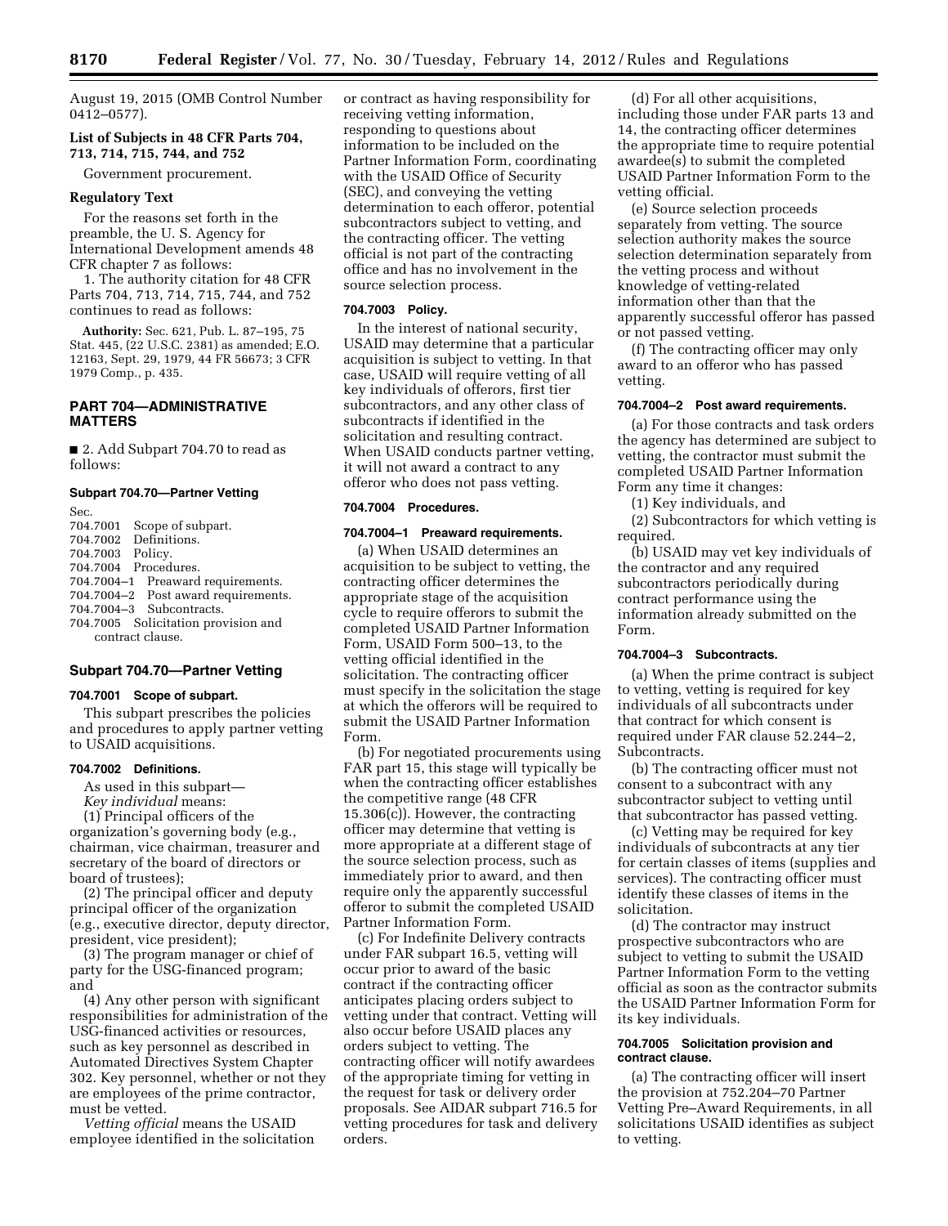August 19, 2015 (OMB Control Number 0412–0577).

# **List of Subjects in 48 CFR Parts 704, 713, 714, 715, 744, and 752**

Government procurement.

#### **Regulatory Text**

For the reasons set forth in the preamble, the U. S. Agency for International Development amends 48 CFR chapter 7 as follows:

1. The authority citation for 48 CFR Parts 704, 713, 714, 715, 744, and 752 continues to read as follows:

**Authority:** Sec. 621, Pub. L. 87–195, 75 Stat. 445, (22 U.S.C. 2381) as amended; E.O. 12163, Sept. 29, 1979, 44 FR 56673; 3 CFR 1979 Comp., p. 435.

# **PART 704—ADMINISTRATIVE MATTERS**

■ 2. Add Subpart 704.70 to read as follows:

#### **Subpart 704.70—Partner Vetting**

| Sec.             |                                     |
|------------------|-------------------------------------|
| 704.7001         | Scope of subpart.                   |
|                  | 704.7002 Definitions.               |
| 704.7003 Policy. |                                     |
|                  | 704.7004 Procedures.                |
|                  | 704.7004-1 Preaward requirements.   |
|                  | 704.7004-2 Post award requirements. |
|                  | 704.7004-3 Subcontracts.            |
|                  | 704.7005 Solicitation provision and |
|                  | contract clause.                    |

# **Subpart 704.70—Partner Vetting**

#### **704.7001 Scope of subpart.**

This subpart prescribes the policies and procedures to apply partner vetting to USAID acquisitions.

#### **704.7002 Definitions.**

As used in this subpart— *Key individual* means: (1) Principal officers of the

organization's governing body (e.g., chairman, vice chairman, treasurer and secretary of the board of directors or board of trustees);

(2) The principal officer and deputy principal officer of the organization (e.g., executive director, deputy director, president, vice president);

(3) The program manager or chief of party for the USG-financed program; and

(4) Any other person with significant responsibilities for administration of the USG-financed activities or resources, such as key personnel as described in Automated Directives System Chapter 302. Key personnel, whether or not they are employees of the prime contractor, must be vetted.

*Vetting official* means the USAID employee identified in the solicitation or contract as having responsibility for receiving vetting information, responding to questions about information to be included on the Partner Information Form, coordinating with the USAID Office of Security (SEC), and conveying the vetting determination to each offeror, potential subcontractors subject to vetting, and the contracting officer. The vetting official is not part of the contracting office and has no involvement in the source selection process.

#### **704.7003 Policy.**

In the interest of national security, USAID may determine that a particular acquisition is subject to vetting. In that case, USAID will require vetting of all key individuals of offerors, first tier subcontractors, and any other class of subcontracts if identified in the solicitation and resulting contract. When USAID conducts partner vetting, it will not award a contract to any offeror who does not pass vetting.

# **704.7004 Procedures.**

# **704.7004–1 Preaward requirements.**

(a) When USAID determines an acquisition to be subject to vetting, the contracting officer determines the appropriate stage of the acquisition cycle to require offerors to submit the completed USAID Partner Information Form, USAID Form 500–13, to the vetting official identified in the solicitation. The contracting officer must specify in the solicitation the stage at which the offerors will be required to submit the USAID Partner Information Form.

(b) For negotiated procurements using FAR part 15, this stage will typically be when the contracting officer establishes the competitive range (48 CFR 15.306(c)). However, the contracting officer may determine that vetting is more appropriate at a different stage of the source selection process, such as immediately prior to award, and then require only the apparently successful offeror to submit the completed USAID Partner Information Form.

(c) For Indefinite Delivery contracts under FAR subpart 16.5, vetting will occur prior to award of the basic contract if the contracting officer anticipates placing orders subject to vetting under that contract. Vetting will also occur before USAID places any orders subject to vetting. The contracting officer will notify awardees of the appropriate timing for vetting in the request for task or delivery order proposals. See AIDAR subpart 716.5 for vetting procedures for task and delivery orders.

(d) For all other acquisitions, including those under FAR parts 13 and 14, the contracting officer determines the appropriate time to require potential awardee(s) to submit the completed USAID Partner Information Form to the vetting official.

(e) Source selection proceeds separately from vetting. The source selection authority makes the source selection determination separately from the vetting process and without knowledge of vetting-related information other than that the apparently successful offeror has passed or not passed vetting.

(f) The contracting officer may only award to an offeror who has passed vetting.

# **704.7004–2 Post award requirements.**

(a) For those contracts and task orders the agency has determined are subject to vetting, the contractor must submit the completed USAID Partner Information Form any time it changes:

(1) Key individuals, and

(2) Subcontractors for which vetting is required.

(b) USAID may vet key individuals of the contractor and any required subcontractors periodically during contract performance using the information already submitted on the Form.

#### **704.7004–3 Subcontracts.**

(a) When the prime contract is subject to vetting, vetting is required for key individuals of all subcontracts under that contract for which consent is required under FAR clause 52.244–2, Subcontracts.

(b) The contracting officer must not consent to a subcontract with any subcontractor subject to vetting until that subcontractor has passed vetting.

(c) Vetting may be required for key individuals of subcontracts at any tier for certain classes of items (supplies and services). The contracting officer must identify these classes of items in the solicitation.

(d) The contractor may instruct prospective subcontractors who are subject to vetting to submit the USAID Partner Information Form to the vetting official as soon as the contractor submits the USAID Partner Information Form for its key individuals.

#### **704.7005 Solicitation provision and contract clause.**

(a) The contracting officer will insert the provision at 752.204–70 Partner Vetting Pre–Award Requirements, in all solicitations USAID identifies as subject to vetting.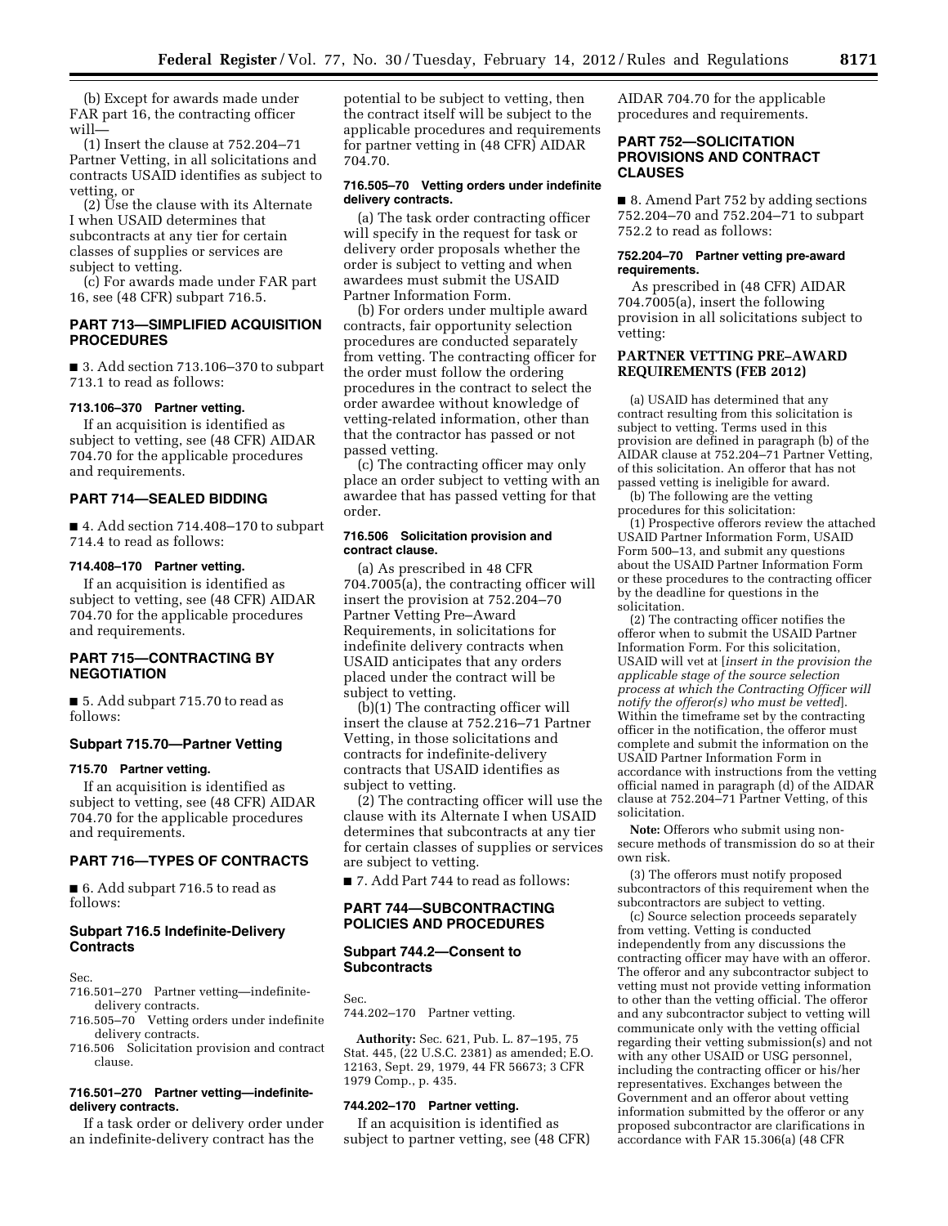(b) Except for awards made under FAR part 16, the contracting officer will—

(1) Insert the clause at 752.204–71 Partner Vetting, in all solicitations and contracts USAID identifies as subject to vetting, or

(2) Use the clause with its Alternate I when USAID determines that subcontracts at any tier for certain classes of supplies or services are subject to vetting.

(c) For awards made under FAR part 16, see (48 CFR) subpart 716.5.

# **PART 713—SIMPLIFIED ACQUISITION PROCEDURES**

■ 3. Add section 713.106-370 to subpart 713.1 to read as follows:

# **713.106–370 Partner vetting.**

If an acquisition is identified as subject to vetting, see (48 CFR) AIDAR 704.70 for the applicable procedures and requirements.

#### **PART 714—SEALED BIDDING**

■ 4. Add section 714.408-170 to subpart 714.4 to read as follows:

# **714.408–170 Partner vetting.**

If an acquisition is identified as subject to vetting, see (48 CFR) AIDAR 704.70 for the applicable procedures and requirements.

# **PART 715—CONTRACTING BY NEGOTIATION**

■ 5. Add subpart 715.70 to read as follows:

#### **Subpart 715.70—Partner Vetting**

# **715.70 Partner vetting.**

If an acquisition is identified as subject to vetting, see (48 CFR) AIDAR 704.70 for the applicable procedures and requirements.

# **PART 716—TYPES OF CONTRACTS**

■ 6. Add subpart 716.5 to read as follows:

# **Subpart 716.5 Indefinite-Delivery Contracts**

Sec.

- 716.501–270 Partner vetting—indefinitedelivery contracts.
- 716.505–70 Vetting orders under indefinite delivery contracts.
- 716.506 Solicitation provision and contract clause.

## **716.501–270 Partner vetting—indefinitedelivery contracts.**

If a task order or delivery order under an indefinite-delivery contract has the

potential to be subject to vetting, then the contract itself will be subject to the applicable procedures and requirements for partner vetting in (48 CFR) AIDAR 704.70.

#### **716.505–70 Vetting orders under indefinite delivery contracts.**

(a) The task order contracting officer will specify in the request for task or delivery order proposals whether the order is subject to vetting and when awardees must submit the USAID Partner Information Form.

(b) For orders under multiple award contracts, fair opportunity selection procedures are conducted separately from vetting. The contracting officer for the order must follow the ordering procedures in the contract to select the order awardee without knowledge of vetting-related information, other than that the contractor has passed or not passed vetting.

(c) The contracting officer may only place an order subject to vetting with an awardee that has passed vetting for that order.

#### **716.506 Solicitation provision and contract clause.**

(a) As prescribed in 48 CFR 704.7005(a), the contracting officer will insert the provision at 752.204–70 Partner Vetting Pre–Award Requirements, in solicitations for indefinite delivery contracts when USAID anticipates that any orders placed under the contract will be subject to vetting.

(b)(1) The contracting officer will insert the clause at 752.216–71 Partner Vetting, in those solicitations and contracts for indefinite-delivery contracts that USAID identifies as subject to vetting.

(2) The contracting officer will use the clause with its Alternate I when USAID determines that subcontracts at any tier for certain classes of supplies or services are subject to vetting.

■ 7. Add Part 744 to read as follows:

# **PART 744—SUBCONTRACTING POLICIES AND PROCEDURES**

#### **Subpart 744.2—Consent to Subcontracts**

Sec.

744.202–170 Partner vetting.

**Authority:** Sec. 621, Pub. L. 87–195, 75 Stat. 445, (22 U.S.C. 2381) as amended; E.O. 12163, Sept. 29, 1979, 44 FR 56673; 3 CFR 1979 Comp., p. 435.

#### **744.202–170 Partner vetting.**

If an acquisition is identified as subject to partner vetting, see (48 CFR) AIDAR 704.70 for the applicable procedures and requirements.

# **PART 752—SOLICITATION PROVISIONS AND CONTRACT CLAUSES**

■ 8. Amend Part 752 by adding sections 752.204–70 and 752.204–71 to subpart 752.2 to read as follows:

#### **752.204–70 Partner vetting pre-award requirements.**

As prescribed in (48 CFR) AIDAR 704.7005(a), insert the following provision in all solicitations subject to vetting:

# **PARTNER VETTING PRE–AWARD REQUIREMENTS (FEB 2012)**

(a) USAID has determined that any contract resulting from this solicitation is subject to vetting. Terms used in this provision are defined in paragraph (b) of the AIDAR clause at 752.204–71 Partner Vetting, of this solicitation. An offeror that has not passed vetting is ineligible for award.

(b) The following are the vetting procedures for this solicitation:

(1) Prospective offerors review the attached USAID Partner Information Form, USAID Form 500–13, and submit any questions about the USAID Partner Information Form or these procedures to the contracting officer by the deadline for questions in the solicitation.

(2) The contracting officer notifies the offeror when to submit the USAID Partner Information Form. For this solicitation, USAID will vet at [*insert in the provision the applicable stage of the source selection process at which the Contracting Officer will notify the offeror(s) who must be vetted*]. Within the timeframe set by the contracting officer in the notification, the offeror must complete and submit the information on the USAID Partner Information Form in accordance with instructions from the vetting official named in paragraph (d) of the AIDAR clause at 752.204–71 Partner Vetting, of this solicitation.

**Note:** Offerors who submit using nonsecure methods of transmission do so at their own risk.

(3) The offerors must notify proposed subcontractors of this requirement when the subcontractors are subject to vetting.

(c) Source selection proceeds separately from vetting. Vetting is conducted independently from any discussions the contracting officer may have with an offeror. The offeror and any subcontractor subject to vetting must not provide vetting information to other than the vetting official. The offeror and any subcontractor subject to vetting will communicate only with the vetting official regarding their vetting submission(s) and not with any other USAID or USG personnel, including the contracting officer or his/her representatives. Exchanges between the Government and an offeror about vetting information submitted by the offeror or any proposed subcontractor are clarifications in accordance with FAR 15.306(a) (48 CFR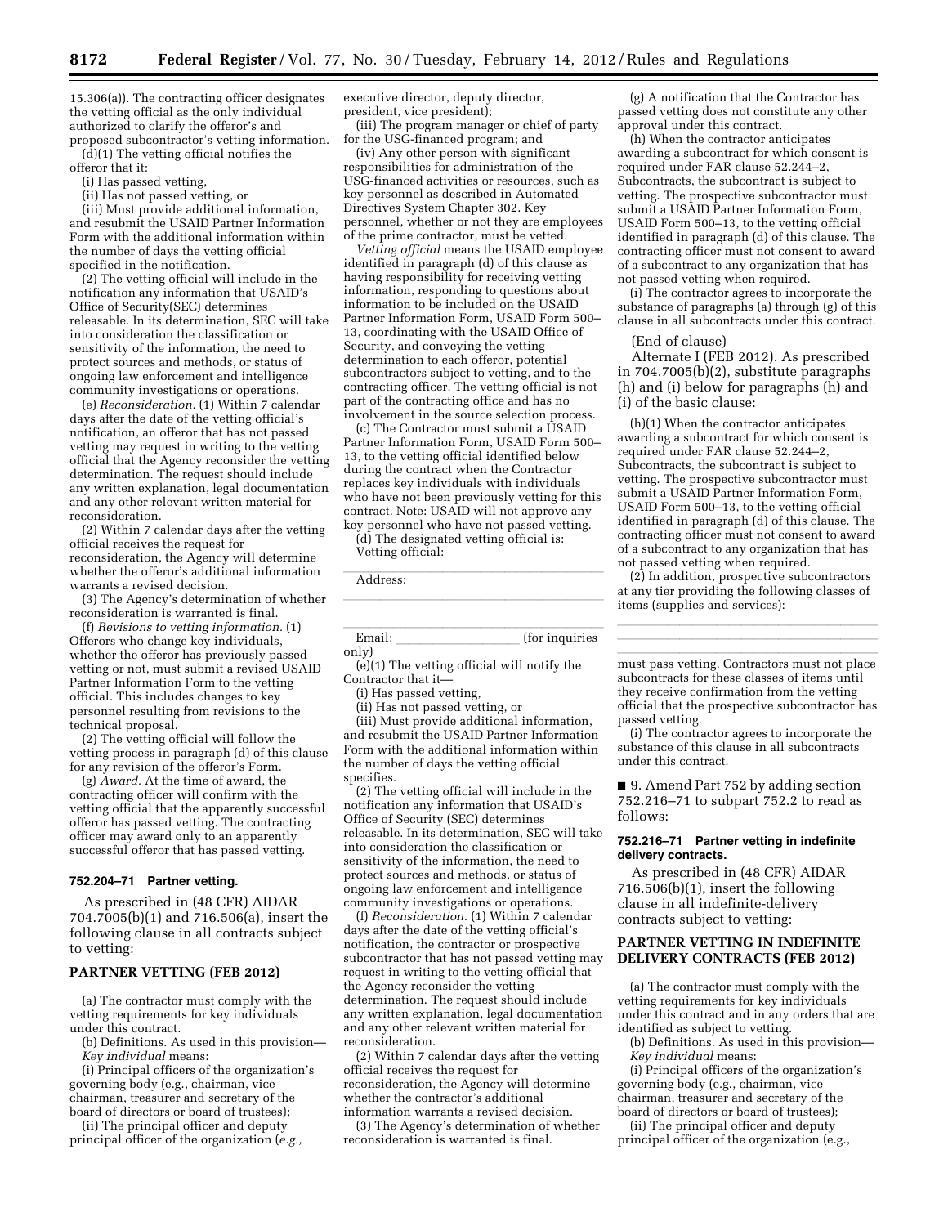15.306(a)). The contracting officer designates the vetting official as the only individual authorized to clarify the offeror's and proposed subcontractor's vetting information.

(d)(1) The vetting official notifies the offeror that it:

(i) Has passed vetting,

(ii) Has not passed vetting, or

(iii) Must provide additional information, and resubmit the USAID Partner Information Form with the additional information within the number of days the vetting official specified in the notification.

(2) The vetting official will include in the notification any information that USAID's Office of Security(SEC) determines releasable. In its determination, SEC will take into consideration the classification or sensitivity of the information, the need to protect sources and methods, or status of ongoing law enforcement and intelligence community investigations or operations.

(e) *Reconsideration.* (1) Within 7 calendar days after the date of the vetting official's notification, an offeror that has not passed vetting may request in writing to the vetting official that the Agency reconsider the vetting determination. The request should include any written explanation, legal documentation and any other relevant written material for reconsideration.

(2) Within 7 calendar days after the vetting official receives the request for reconsideration, the Agency will determine whether the offeror's additional information warrants a revised decision.

(3) The Agency's determination of whether reconsideration is warranted is final.

(f) *Revisions to vetting information.* (1) Offerors who change key individuals, whether the offeror has previously passed vetting or not, must submit a revised USAID Partner Information Form to the vetting official. This includes changes to key personnel resulting from revisions to the technical proposal.

(2) The vetting official will follow the vetting process in paragraph (d) of this clause for any revision of the offeror's Form.

(g) *Award.* At the time of award, the contracting officer will confirm with the vetting official that the apparently successful offeror has passed vetting. The contracting officer may award only to an apparently successful offeror that has passed vetting.

#### **752.204–71 Partner vetting.**

As prescribed in (48 CFR) AIDAR 704.7005(b)(1) and 716.506(a), insert the following clause in all contracts subject to vetting:

#### **PARTNER VETTING (FEB 2012)**

(a) The contractor must comply with the vetting requirements for key individuals under this contract.

(b) Definitions. As used in this provision— *Key individual* means:

(i) Principal officers of the organization's

governing body (e.g., chairman, vice chairman, treasurer and secretary of the board of directors or board of trustees);

(ii) The principal officer and deputy principal officer of the organization (*e.g.,*  executive director, deputy director, president, vice president);

(iii) The program manager or chief of party for the USG-financed program; and

(iv) Any other person with significant responsibilities for administration of the USG-financed activities or resources, such as key personnel as described in Automated Directives System Chapter 302. Key personnel, whether or not they are employees of the prime contractor, must be vetted.

*Vetting official* means the USAID employee identified in paragraph (d) of this clause as having responsibility for receiving vetting information, responding to questions about information to be included on the USAID Partner Information Form, USAID Form 500– 13, coordinating with the USAID Office of Security, and conveying the vetting determination to each offeror, potential subcontractors subject to vetting, and to the contracting officer. The vetting official is not part of the contracting office and has no involvement in the source selection process.

(c) The Contractor must submit a USAID Partner Information Form, USAID Form 500– 13, to the vetting official identified below during the contract when the Contractor replaces key individuals with individuals who have not been previously vetting for this contract. Note: USAID will not approve any key personnel who have not passed vetting.

(d) The designated vetting official is: Vetting official:

Address: Andreas and the set of the set of the set of the set of the set of the set of the set of the set of the set of the set of the set of the set of the set of the set of the set of the set of the set of the set of the

 $\frac{1}{\text{lcm}}$  (for inquiries only)

llland i den stats af det stats af det stats af det stats af det stats af det stats af det stats af det stats<br>En dels det stats af det stats af det stats af det stats af det stats af det stats af det stats af det stats a

(e)(1) The vetting official will notify the Contractor that it—

(i) Has passed vetting,

(ii) Has not passed vetting, or

(iii) Must provide additional information, and resubmit the USAID Partner Information Form with the additional information within the number of days the vetting official specifies.

(2) The vetting official will include in the notification any information that USAID's Office of Security (SEC) determines releasable. In its determination, SEC will take into consideration the classification or sensitivity of the information, the need to protect sources and methods, or status of ongoing law enforcement and intelligence community investigations or operations.

(f) *Reconsideration.* (1) Within 7 calendar days after the date of the vetting official's notification, the contractor or prospective subcontractor that has not passed vetting may request in writing to the vetting official that the Agency reconsider the vetting determination. The request should include any written explanation, legal documentation and any other relevant written material for reconsideration.

(2) Within 7 calendar days after the vetting official receives the request for reconsideration, the Agency will determine whether the contractor's additional information warrants a revised decision.

(3) The Agency's determination of whether reconsideration is warranted is final.

(g) A notification that the Contractor has passed vetting does not constitute any other approval under this contract.

(h) When the contractor anticipates awarding a subcontract for which consent is required under FAR clause 52.244–2, Subcontracts, the subcontract is subject to vetting. The prospective subcontractor must submit a USAID Partner Information Form, USAID Form 500–13, to the vetting official identified in paragraph (d) of this clause. The contracting officer must not consent to award of a subcontract to any organization that has not passed vetting when required.

(i) The contractor agrees to incorporate the substance of paragraphs (a) through (g) of this clause in all subcontracts under this contract.

(End of clause)

Alternate I (FEB 2012). As prescribed in 704.7005(b)(2), substitute paragraphs (h) and (i) below for paragraphs (h) and (i) of the basic clause:

(h)(1) When the contractor anticipates awarding a subcontract for which consent is required under FAR clause 52.244–2, Subcontracts, the subcontract is subject to vetting. The prospective subcontractor must submit a USAID Partner Information Form, USAID Form 500–13, to the vetting official identified in paragraph (d) of this clause. The contracting officer must not consent to award of a subcontract to any organization that has not passed vetting when required.

(2) In addition, prospective subcontractors at any tier providing the following classes of items (supplies and services):

llland i den stats af det stats af det stats af det stats af det stats af det stats af det stats af det stats<br>En dels det stats af det stats af det stats af det stats af det stats af det stats af det stats af det stats a llland i den stats af det stats af det stats af det stats af det stats af det stats af det stats af det stats<br>En dels det stats af det stats af det stats af det stats af det stats af det stats af det stats af det stats a

must pass vetting. Contractors must not place subcontracts for these classes of items until they receive confirmation from the vetting official that the prospective subcontractor has passed vetting.

(i) The contractor agrees to incorporate the substance of this clause in all subcontracts under this contract.

■ 9. Amend Part 752 by adding section 752.216–71 to subpart 752.2 to read as follows:

#### **752.216–71 Partner vetting in indefinite delivery contracts.**

As prescribed in (48 CFR) AIDAR 716.506(b)(1), insert the following clause in all indefinite-delivery contracts subject to vetting:

# **PARTNER VETTING IN INDEFINITE DELIVERY CONTRACTS (FEB 2012)**

(a) The contractor must comply with the vetting requirements for key individuals under this contract and in any orders that are identified as subject to vetting.

(b) Definitions. As used in this provision— *Key individual* means:

(i) Principal officers of the organization's governing body (e.g., chairman, vice chairman, treasurer and secretary of the board of directors or board of trustees);

(ii) The principal officer and deputy principal officer of the organization (e.g.,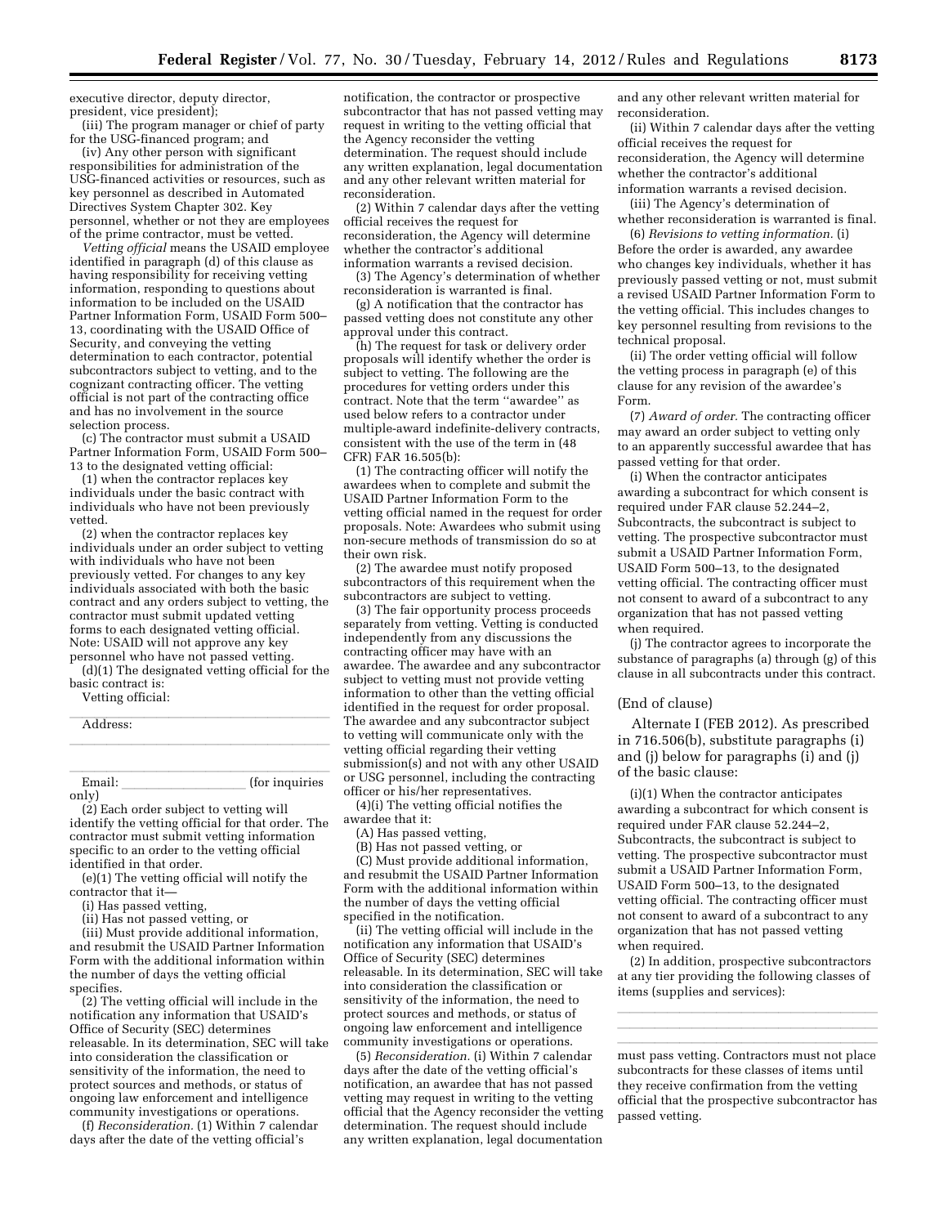executive director, deputy director, president, vice president);

(iii) The program manager or chief of party for the USG-financed program; and

(iv) Any other person with significant responsibilities for administration of the USG-financed activities or resources, such as key personnel as described in Automated Directives System Chapter 302. Key personnel, whether or not they are employees of the prime contractor, must be vetted.

*Vetting official* means the USAID employee identified in paragraph (d) of this clause as having responsibility for receiving vetting information, responding to questions about information to be included on the USAID Partner Information Form, USAID Form 500– 13, coordinating with the USAID Office of Security, and conveying the vetting determination to each contractor, potential subcontractors subject to vetting, and to the cognizant contracting officer. The vetting official is not part of the contracting office and has no involvement in the source selection process.

(c) The contractor must submit a USAID Partner Information Form, USAID Form 500– 13 to the designated vetting official:

(1) when the contractor replaces key individuals under the basic contract with individuals who have not been previously vetted.

(2) when the contractor replaces key individuals under an order subject to vetting with individuals who have not been previously vetted. For changes to any key individuals associated with both the basic contract and any orders subject to vetting, the contractor must submit updated vetting forms to each designated vetting official. Note: USAID will not approve any key personnel who have not passed vetting.

(d)(1) The designated vetting official for the basic contract is:

Vetting official:

| Address: |                |
|----------|----------------|
|          |                |
| Email:   | (for inquiries |
| onlv)    |                |

only)

(2) Each order subject to vetting will identify the vetting official for that order. The contractor must submit vetting information specific to an order to the vetting official identified in that order.

(e)(1) The vetting official will notify the contractor that it—

(i) Has passed vetting,

(ii) Has not passed vetting, or

(iii) Must provide additional information, and resubmit the USAID Partner Information Form with the additional information within the number of days the vetting official specifies.

(2) The vetting official will include in the notification any information that USAID's Office of Security (SEC) determines releasable. In its determination, SEC will take into consideration the classification or sensitivity of the information, the need to protect sources and methods, or status of ongoing law enforcement and intelligence community investigations or operations.

(f) *Reconsideration.* (1) Within 7 calendar days after the date of the vetting official's

notification, the contractor or prospective subcontractor that has not passed vetting may request in writing to the vetting official that the Agency reconsider the vetting determination. The request should include any written explanation, legal documentation and any other relevant written material for reconsideration.

(2) Within 7 calendar days after the vetting official receives the request for reconsideration, the Agency will determine whether the contractor's additional information warrants a revised decision.

(3) The Agency's determination of whether reconsideration is warranted is final.

(g) A notification that the contractor has passed vetting does not constitute any other approval under this contract.

(h) The request for task or delivery order proposals will identify whether the order is subject to vetting. The following are the procedures for vetting orders under this contract. Note that the term ''awardee'' as used below refers to a contractor under multiple-award indefinite-delivery contracts, consistent with the use of the term in (48 CFR) FAR 16.505(b):

(1) The contracting officer will notify the awardees when to complete and submit the USAID Partner Information Form to the vetting official named in the request for order proposals. Note: Awardees who submit using non-secure methods of transmission do so at their own risk.

(2) The awardee must notify proposed subcontractors of this requirement when the subcontractors are subject to vetting.

(3) The fair opportunity process proceeds separately from vetting. Vetting is conducted independently from any discussions the contracting officer may have with an awardee. The awardee and any subcontractor subject to vetting must not provide vetting information to other than the vetting official identified in the request for order proposal. The awardee and any subcontractor subject to vetting will communicate only with the vetting official regarding their vetting submission(s) and not with any other USAID or USG personnel, including the contracting officer or his/her representatives.

(4)(i) The vetting official notifies the awardee that it:

(A) Has passed vetting,

(B) Has not passed vetting, or

(C) Must provide additional information, and resubmit the USAID Partner Information Form with the additional information within the number of days the vetting official specified in the notification.

(ii) The vetting official will include in the notification any information that USAID's Office of Security (SEC) determines releasable. In its determination, SEC will take into consideration the classification or sensitivity of the information, the need to protect sources and methods, or status of ongoing law enforcement and intelligence community investigations or operations.

(5) *Reconsideration.* (i) Within 7 calendar days after the date of the vetting official's notification, an awardee that has not passed vetting may request in writing to the vetting official that the Agency reconsider the vetting determination. The request should include any written explanation, legal documentation

and any other relevant written material for reconsideration.

(ii) Within 7 calendar days after the vetting official receives the request for reconsideration, the Agency will determine whether the contractor's additional information warrants a revised decision.

(iii) The Agency's determination of whether reconsideration is warranted is final.

(6) *Revisions to vetting information.* (i) Before the order is awarded, any awardee who changes key individuals, whether it has previously passed vetting or not, must submit a revised USAID Partner Information Form to the vetting official. This includes changes to key personnel resulting from revisions to the technical proposal.

(ii) The order vetting official will follow the vetting process in paragraph (e) of this clause for any revision of the awardee's Form.

(7) *Award of order.* The contracting officer may award an order subject to vetting only to an apparently successful awardee that has passed vetting for that order.

(i) When the contractor anticipates awarding a subcontract for which consent is required under FAR clause 52.244–2, Subcontracts, the subcontract is subject to vetting. The prospective subcontractor must submit a USAID Partner Information Form, USAID Form 500–13, to the designated vetting official. The contracting officer must not consent to award of a subcontract to any organization that has not passed vetting when required.

(j) The contractor agrees to incorporate the substance of paragraphs (a) through (g) of this clause in all subcontracts under this contract.

#### (End of clause)

Alternate I (FEB 2012). As prescribed in 716.506(b), substitute paragraphs (i) and (j) below for paragraphs (i) and (j) of the basic clause:

(i)(1) When the contractor anticipates awarding a subcontract for which consent is required under FAR clause 52.244–2, Subcontracts, the subcontract is subject to vetting. The prospective subcontractor must submit a USAID Partner Information Form, USAID Form 500–13, to the designated vetting official. The contracting officer must not consent to award of a subcontract to any organization that has not passed vetting when required.

(2) In addition, prospective subcontractors at any tier providing the following classes of items (supplies and services):

llland i den stats af det stats af det stats af det stats af det stats af det stats af det stats af det stats<br>En dels det stats af det stats af det stats af det stats af det stats af det stats af det stats af det stats a llland i den stats af det stats af det stats af det stats af det stats af det stats af det stats af det stats<br>En dels det stats af det stats af det stats af det stats af det stats af det stats af det stats af det stats a

must pass vetting. Contractors must not place subcontracts for these classes of items until they receive confirmation from the vetting official that the prospective subcontractor has passed vetting.